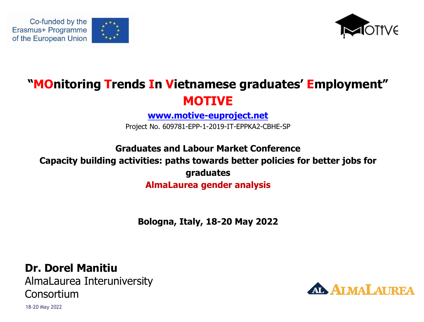





## **"MOnitoring Trends In Vietnamese graduates' Employment" MOTIVE**

**[www.motive-euproject.net](http://www.motive-euproject.net/)**

Project No. 609781-EPP-1-2019-IT-EPPKA2-CBHE-SP

**Graduates and Labour Market Conference**

#### **Capacity building activities: paths towards better policies for better jobs for graduates**

**AlmaLaurea gender analysis**

**Bologna, Italy, 18-20 May 2022**

**Dr. Dorel Manitiu** AlmaLaurea Interuniversity Consortium

18-20 May 2022

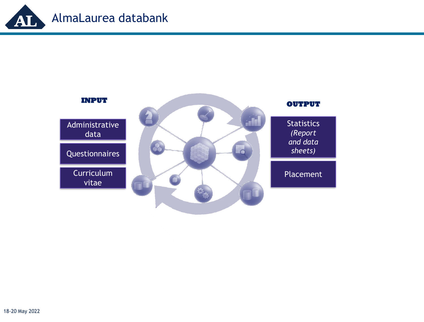

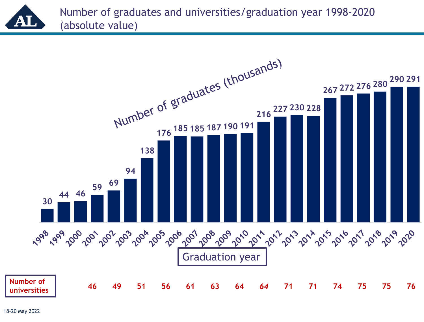#### Number of graduates and universities/graduation year 1998-2020 (absolute value)

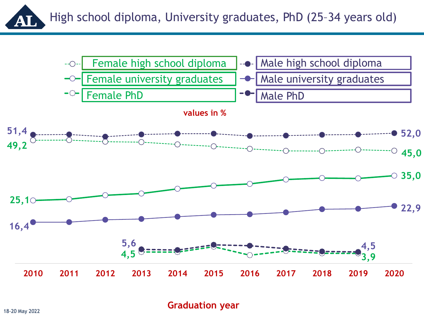High school diploma, University graduates, PhD (25–34 years old)



**Graduation year**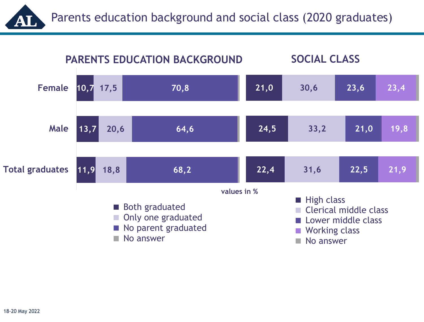Parents education background and social class (2020 graduates)



AI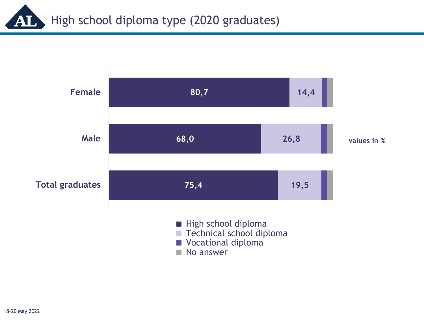High school diploma type (2020 graduates) AI

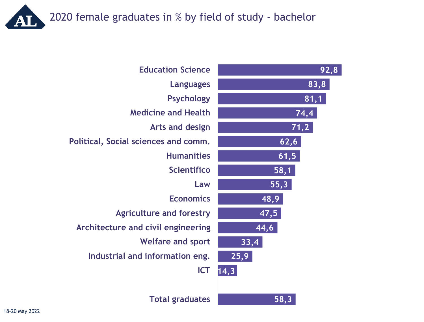2020 female graduates in % by field of study - bachelor AI

| 92,8 | <b>Education Science</b>             |
|------|--------------------------------------|
| 83,8 | <b>Languages</b>                     |
| 81,1 | <b>Psychology</b>                    |
| 74,4 | <b>Medicine and Health</b>           |
| 71,2 | <b>Arts and design</b>               |
| 62,6 | Political, Social sciences and comm. |
| 61,5 | <b>Humanities</b>                    |
| 58,1 | <b>Scientifico</b>                   |
| 55,3 | Law                                  |
| 48,9 | <b>Economics</b>                     |
| 47,5 | <b>Agriculture and forestry</b>      |
| 44,6 | Architecture and civil engineering   |
| 33,4 | <b>Welfare and sport</b>             |
| 25,9 | Industrial and information eng.      |
| 14,3 | <b>ICT</b>                           |
|      |                                      |
| 58,3 | <b>Total graduates</b>               |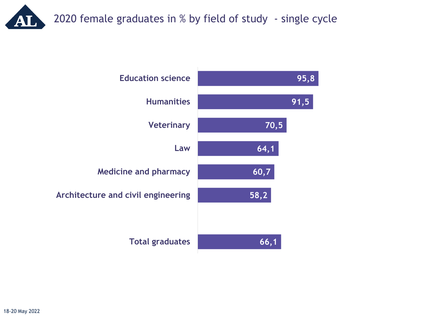2020 female graduates in % by field of study - single cycle

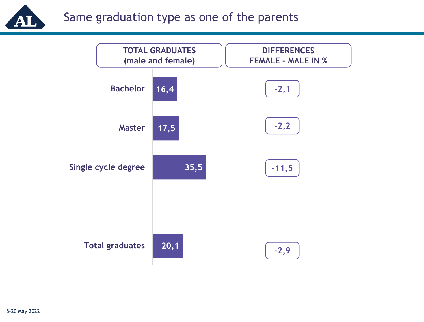

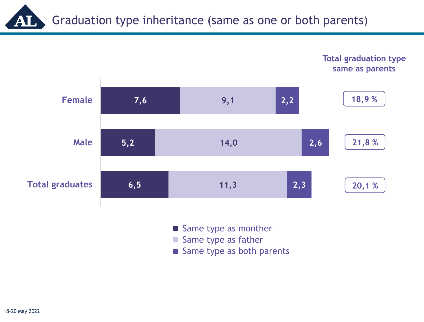Graduation type inheritance (same as one or both parents) AI

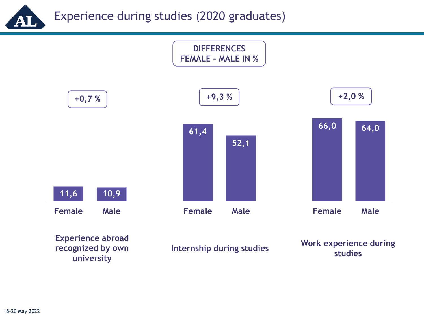Experience during studies (2020 graduates) Ą

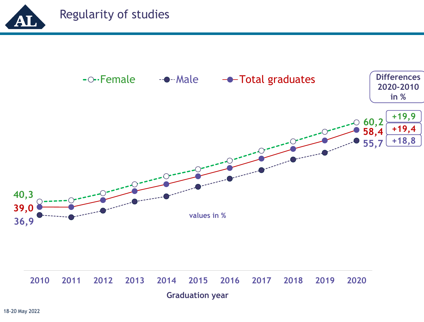



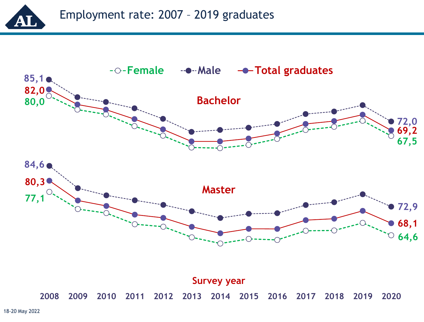



**2008 2009 2010 2011 2012 2013 2014 2015 2016 2017 2018 2019 2020 Survey year**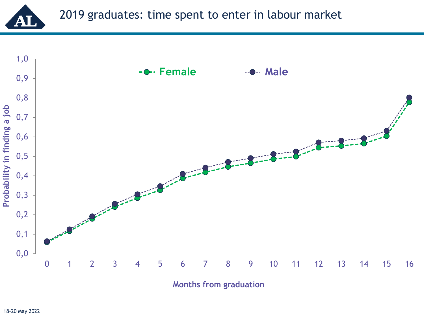

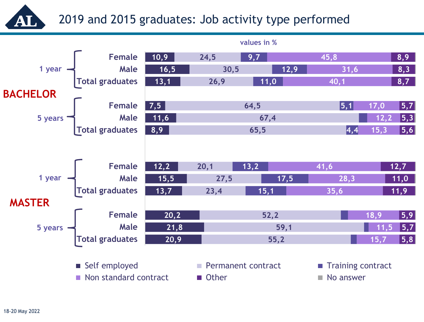## 2019 and 2015 graduates: Job activity type performed

|                 |                                                                                                                                                                       |      |      | values in % |                   |                           |
|-----------------|-----------------------------------------------------------------------------------------------------------------------------------------------------------------------|------|------|-------------|-------------------|---------------------------|
|                 |                                                                                                                                                                       |      | 24,5 | 9,7         | 45,8              | 8,9                       |
|                 | 1 year $\begin{array}{ c c c }\n\hline\n\text{10,9} & \text{Mean} & \text{10,9} \\ \hline\n\text{Total graduates} & \text{13,1} & \text{13,1} \\ \hline\n\end{array}$ |      | 30,5 | 12,9        | 31,6              | 8,3                       |
|                 |                                                                                                                                                                       |      | 26,9 | 11,0        | 40,1              | 8,7                       |
| <b>BACHELOR</b> | ELOR<br>5 years Total graduates 8,9                                                                                                                                   |      |      |             |                   |                           |
|                 |                                                                                                                                                                       |      |      | 64,5        | $\vert 5,1 \vert$ | 5,7 <br>17,0              |
|                 |                                                                                                                                                                       |      |      | 67,4        |                   | $\vert 5,3 \vert$<br>12,2 |
|                 |                                                                                                                                                                       |      |      | 65,5        | $\vert 4,4 \vert$ | 5,6 <br>15,3              |
|                 |                                                                                                                                                                       |      |      |             |                   |                           |
|                 |                                                                                                                                                                       |      |      |             |                   |                           |
|                 |                                                                                                                                                                       |      | 20,1 | 13,2        | 41,6              | 12,7                      |
|                 |                                                                                                                                                                       |      | 27,5 | 17,5        | 28,3              | 11,0                      |
|                 | 1 year Total graduates 13,7                                                                                                                                           |      | 23,4 | 15,1        | 35,6              | 11,9                      |
| <b>MASTER</b>   |                                                                                                                                                                       |      |      |             |                   |                           |
|                 |                                                                                                                                                                       | 20,2 |      | 52,2        |                   | $ 5,9\rangle$<br>18,9     |
|                 |                                                                                                                                                                       | 21,8 |      | 59,1        |                   | 5,7 <br>11,5              |
|                 | TERN Female Remains 5 years Total graduates                                                                                                                           | 20,9 |      | 55,2        |                   | 5,8 <br>15,7              |
|                 |                                                                                                                                                                       |      |      |             |                   |                           |

Self employed **Permanent contract** Training contract ■ Non standard contract ■ Other No answer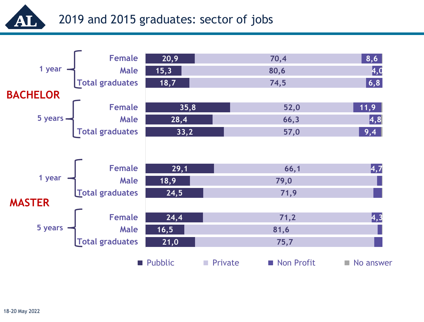2019 and 2015 graduates: sector of jobsAL

| 1 year<br>Total graduates                         | 20,9                   | 70,4                     | 8,6                |
|---------------------------------------------------|------------------------|--------------------------|--------------------|
|                                                   | 15,3                   | 80,6                     | 4,0                |
|                                                   | 18,7                   | 74,5                     | 6,8                |
| <b>BACHELOR</b>                                   |                        |                          |                    |
| <b>IELOR</b><br>5 years Female<br>Total graduates | 35,8                   | 52,0                     | 11,9               |
|                                                   | 28,4                   | 66,3                     | $\vert 4, 8 \vert$ |
|                                                   | 33,2                   | 57,0                     | 9,4                |
|                                                   |                        |                          |                    |
|                                                   |                        |                          |                    |
|                                                   | 29,1                   | 66,1                     | $\vert 4, 7 \vert$ |
| 1 year<br>Total graduates                         | 18,9                   | 79,0                     |                    |
|                                                   | 24,5                   | 71,9                     |                    |
| <b>MASTER</b>                                     |                        |                          |                    |
|                                                   | 24,4                   | 71,2                     | $\boldsymbol{4,3}$ |
|                                                   | 16,5                   | 81,6                     |                    |
| 5 years Total graduates                           | 21,0                   | 75,7                     |                    |
|                                                   |                        |                          |                    |
|                                                   | <b>Pubblic</b> Private | ■ Non Profit ■ No answer |                    |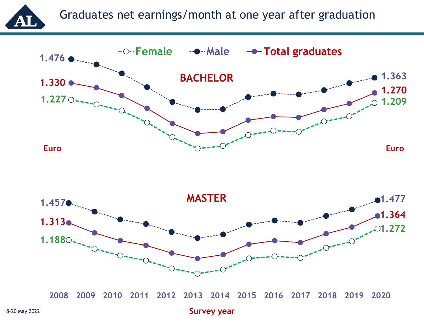

### Graduates net earnings/month at one year after graduation





**2008 2009 2010 2011 2012 2013 2014 2015 2016 2017 2018 2019 2020**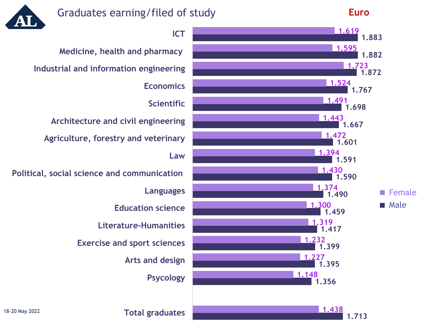### Graduates earning/filed of study

**Euro**

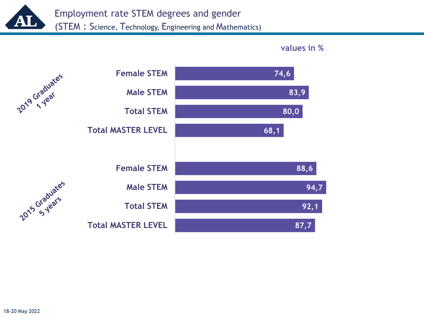Employment rate STEM degrees and gender Ą (STEM : Science, Technology, Engineering and Mathematics)

#### **values in %**

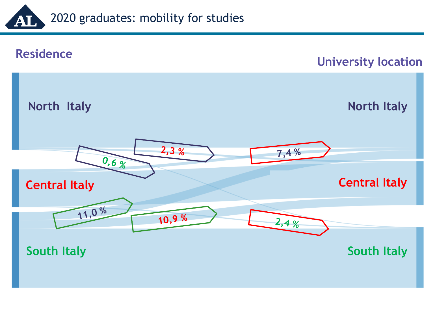2020 graduates: mobility for studies AI

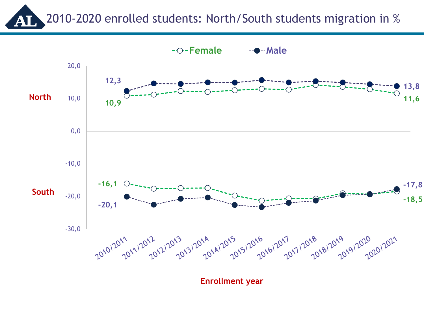#### 2010-2020 enrolled students: North/South students migration in %  $\boldsymbol{A}$



**Enrollment year**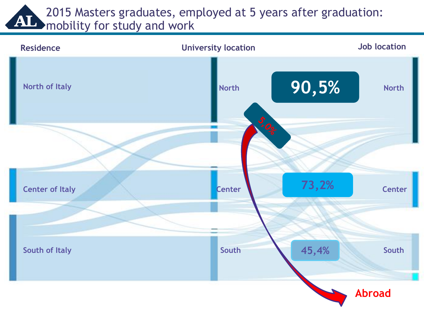### 2015 Masters graduates, employed at 5 years after graduation: AT mobility for study and work

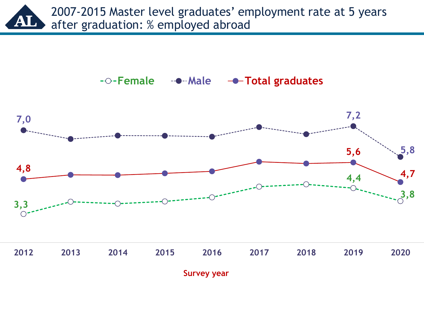2007-2015 Master level graduates' employment rate at 5 years AI after graduation: % employed abroad

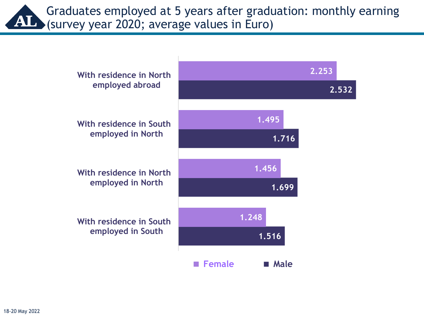Graduates employed at 5 years after graduation: monthly earning AI (survey year 2020; average values in Euro)